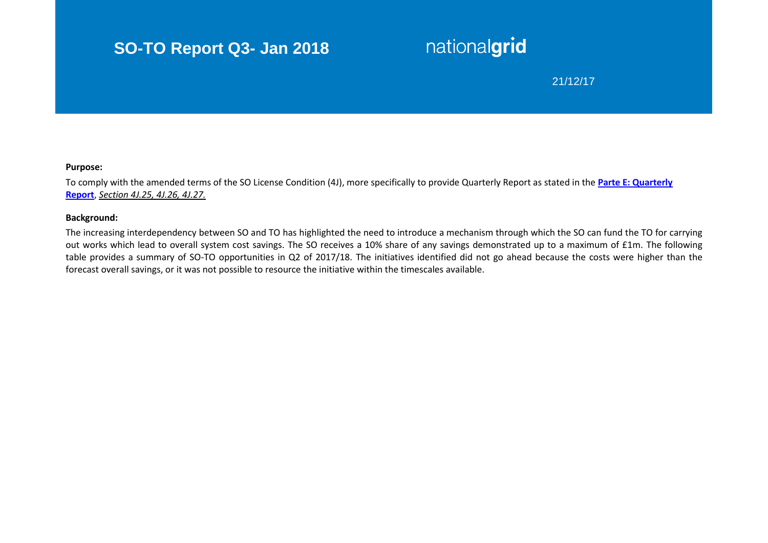## **SO-TO Report Q3- Jan 2018**

# nationalgrid

## 21/12/17

#### **Purpose:**

To comply with the amended terms of the SO License Condition (4J), more specifically to provide Quarterly Report as stated in the **[Parte E: Quarterly](https://epr.ofgem.gov.uk/Content/Documents/National%20Grid%20Electricity%20Transmission%20Plc%20-%20Special%20Conditions%20-%20Current%20Version.pdf)  [Report](https://epr.ofgem.gov.uk/Content/Documents/National%20Grid%20Electricity%20Transmission%20Plc%20-%20Special%20Conditions%20-%20Current%20Version.pdf)**, *Section 4J.25, 4J.26, 4J.27.*

#### **Background:**

The increasing interdependency between SO and TO has highlighted the need to introduce a mechanism through which the SO can fund the TO for carrying out works which lead to overall system cost savings. The SO receives a 10% share of any savings demonstrated up to a maximum of £1m. The following table provides a summary of SO-TO opportunities in Q2 of 2017/18. The initiatives identified did not go ahead because the costs were higher than the forecast overall savings, or it was not possible to resource the initiative within the timescales available.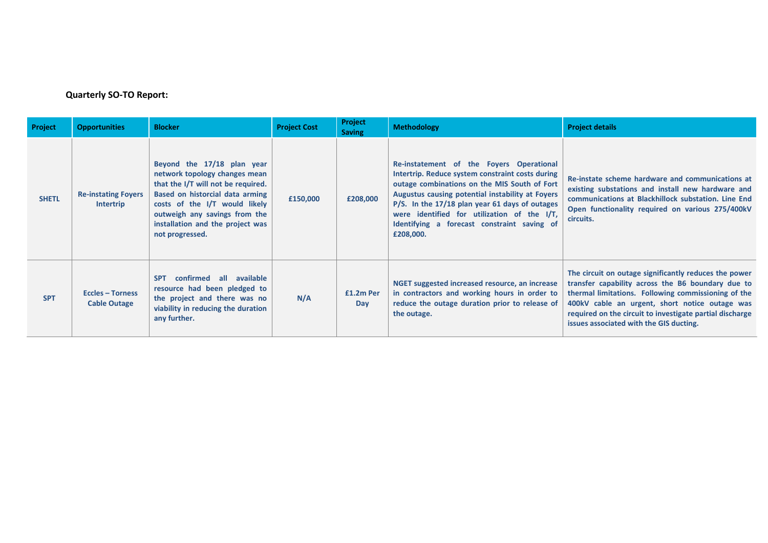## **Quarterly SO-TO Report:**

| Project      | <b>Opportunities</b>                           | <b>Blocker</b>                                                                                                                                                                                                                                                | <b>Project Cost</b> | <b>Project</b><br><b>Saving</b> | <b>Methodology</b>                                                                                                                                                                                                                                                                                                                                            | <b>Project details</b>                                                                                                                                                                                                                                                                                                     |
|--------------|------------------------------------------------|---------------------------------------------------------------------------------------------------------------------------------------------------------------------------------------------------------------------------------------------------------------|---------------------|---------------------------------|---------------------------------------------------------------------------------------------------------------------------------------------------------------------------------------------------------------------------------------------------------------------------------------------------------------------------------------------------------------|----------------------------------------------------------------------------------------------------------------------------------------------------------------------------------------------------------------------------------------------------------------------------------------------------------------------------|
| <b>SHETL</b> | <b>Re-instating Foyers</b><br><b>Intertrip</b> | Beyond the 17/18 plan year<br>network topology changes mean<br>that the I/T will not be required.<br>Based on historcial data arming<br>costs of the I/T would likely<br>outweigh any savings from the<br>installation and the project was<br>not progressed. | £150,000            | £208,000                        | Re-instatement of the Foyers Operational<br>Intertrip. Reduce system constraint costs during<br>outage combinations on the MIS South of Fort<br>Augustus causing potential instability at Foyers<br>P/S. In the 17/18 plan year 61 days of outages<br>were identified for utilization of the I/T,<br>Identifying a forecast constraint saving of<br>£208,000. | Re-instate scheme hardware and communications at<br>existing substations and install new hardware and<br>communications at Blackhillock substation. Line End<br>Open functionality required on various 275/400kV<br>circuits.                                                                                              |
| <b>SPT</b>   | <b>Eccles - Torness</b><br><b>Cable Outage</b> | confirmed all available<br><b>SPT</b><br>resource had been pledged to<br>the project and there was no<br>viability in reducing the duration<br>any further.                                                                                                   | N/A                 | £1.2m Per<br>Day                | NGET suggested increased resource, an increase<br>in contractors and working hours in order to<br>reduce the outage duration prior to release of<br>the outage.                                                                                                                                                                                               | The circuit on outage significantly reduces the power<br>transfer capability across the B6 boundary due to<br>thermal limitations. Following commissioning of the<br>400kV cable an urgent, short notice outage was<br>required on the circuit to investigate partial discharge<br>issues associated with the GIS ducting. |